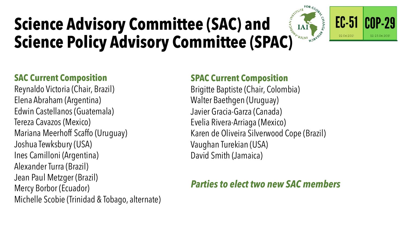# **Science Advisory Committee (SAC) and Science Advisory Committee (SAC) and<br>Science Policy Advisory Committee (SPAC)**



#### CNP-29 22-23.06.202

#### **SAC Current Composition**

Reynaldo Victoria (Chair, Brazil) Elena Abraham (Argentina) Edwin Castellanos (Guatemala) Tereza Cavazos (Mexico) Mariana Meerhoff Scaffo (Uruguay) Joshua Tewksbury (USA) Ines Camilloni (Argentina) Alexander Turra (Brazil) Jean Paul Metzger (Brazil) Mercy Borbor (Ecuador) Michelle Scobie (Trinidad & Tobago, alternate)

#### **SPAC Current Composition**

Brigitte Baptiste (Chair, Colombia) Walter Baethgen (Uruguay) Javier Gracia-Garza (Canada) Evelia Rivera-Arriaga (Mexico) Karen de Oliveira Silverwood Cope (Brazil) Vaughan Turekian (USA) David Smith (Jamaica)

#### *Parties to elect two new SAC members*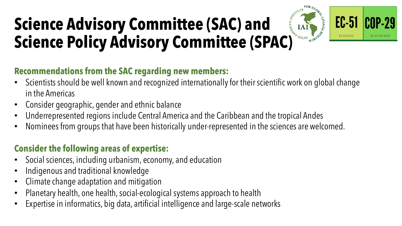## **Science Advisory Committee (SAC) and Science Policy Advisory Committee (SPAC)**





#### **Recommendations from the SAC regarding new members:**

- Scientists should be well known and recognized internationally for their scientific work on global change in the Americas
- Consider geographic, gender and ethnic balance
- Underrepresented regions include Central America and the Caribbean and the tropical Andes
- Nominees from groups that have been historically under-represented in the sciences are welcomed.

### **Consider the following areas of expertise:**

- Social sciences, including urbanism, economy, and education
- Indigenous and traditional knowledge
- Climate change adaptation and mitigation
- Planetary health, one health, social-ecological systems approach to health
- Expertise in informatics, big data, artificial intelligence and large-scale networks